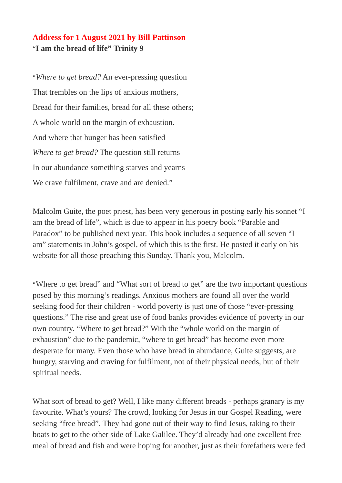## **Address for 1 August 2021 by Bill Pattinson** "**I am the bread of life" Trinity 9**

"*Where to get bread?* An ever-pressing question That trembles on the lips of anxious mothers, Bread for their families, bread for all these others; A whole world on the margin of exhaustion. And where that hunger has been satisfied *Where to get bread?* The question still returns In our abundance something starves and yearns We crave fulfilment, crave and are denied."

Malcolm Guite, the poet priest, has been very generous in posting early his sonnet "I am the bread of life", which is due to appear in his poetry book "Parable and Paradox" to be published next year. This book includes a sequence of all seven "I am" statements in John's gospel, of which this is the first. He posted it early on his website for all those preaching this Sunday. Thank you, Malcolm.

"Where to get bread" and "What sort of bread to get" are the two important questions posed by this morning's readings. Anxious mothers are found all over the world seeking food for their children - world poverty is just one of those "ever-pressing questions." The rise and great use of food banks provides evidence of poverty in our own country. "Where to get bread?" With the "whole world on the margin of exhaustion" due to the pandemic, "where to get bread" has become even more desperate for many. Even those who have bread in abundance, Guite suggests, are hungry, starving and craving for fulfilment, not of their physical needs, but of their spiritual needs.

What sort of bread to get? Well, I like many different breads - perhaps granary is my favourite. What's yours? The crowd, looking for Jesus in our Gospel Reading, were seeking "free bread". They had gone out of their way to find Jesus, taking to their boats to get to the other side of Lake Galilee. They'd already had one excellent free meal of bread and fish and were hoping for another, just as their forefathers were fed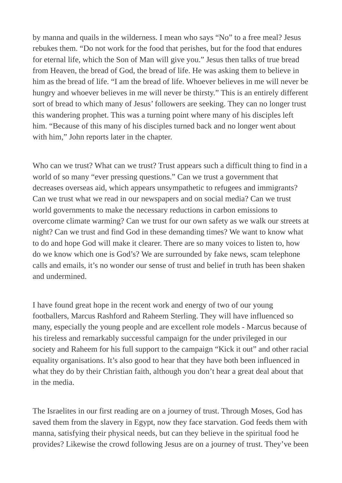by manna and quails in the wilderness. I mean who says "No" to a free meal? Jesus rebukes them. "Do not work for the food that perishes, but for the food that endures for eternal life, which the Son of Man will give you." Jesus then talks of true bread from Heaven, the bread of God, the bread of life. He was asking them to believe in him as the bread of life. "I am the bread of life. Whoever believes in me will never be hungry and whoever believes in me will never be thirsty." This is an entirely different sort of bread to which many of Jesus' followers are seeking. They can no longer trust this wandering prophet. This was a turning point where many of his disciples left him. "Because of this many of his disciples turned back and no longer went about with him," John reports later in the chapter.

Who can we trust? What can we trust? Trust appears such a difficult thing to find in a world of so many "ever pressing questions." Can we trust a government that decreases overseas aid, which appears unsympathetic to refugees and immigrants? Can we trust what we read in our newspapers and on social media? Can we trust world governments to make the necessary reductions in carbon emissions to overcome climate warming? Can we trust for our own safety as we walk our streets at night? Can we trust and find God in these demanding times? We want to know what to do and hope God will make it clearer. There are so many voices to listen to, how do we know which one is God's? We are surrounded by fake news, scam telephone calls and emails, it's no wonder our sense of trust and belief in truth has been shaken and undermined.

I have found great hope in the recent work and energy of two of our young footballers, Marcus Rashford and Raheem Sterling. They will have influenced so many, especially the young people and are excellent role models - Marcus because of his tireless and remarkably successful campaign for the under privileged in our society and Raheem for his full support to the campaign "Kick it out" and other racial equality organisations. It's also good to hear that they have both been influenced in what they do by their Christian faith, although you don't hear a great deal about that in the media.

The Israelites in our first reading are on a journey of trust. Through Moses, God has saved them from the slavery in Egypt, now they face starvation. God feeds them with manna, satisfying their physical needs, but can they believe in the spiritual food he provides? Likewise the crowd following Jesus are on a journey of trust. They've been